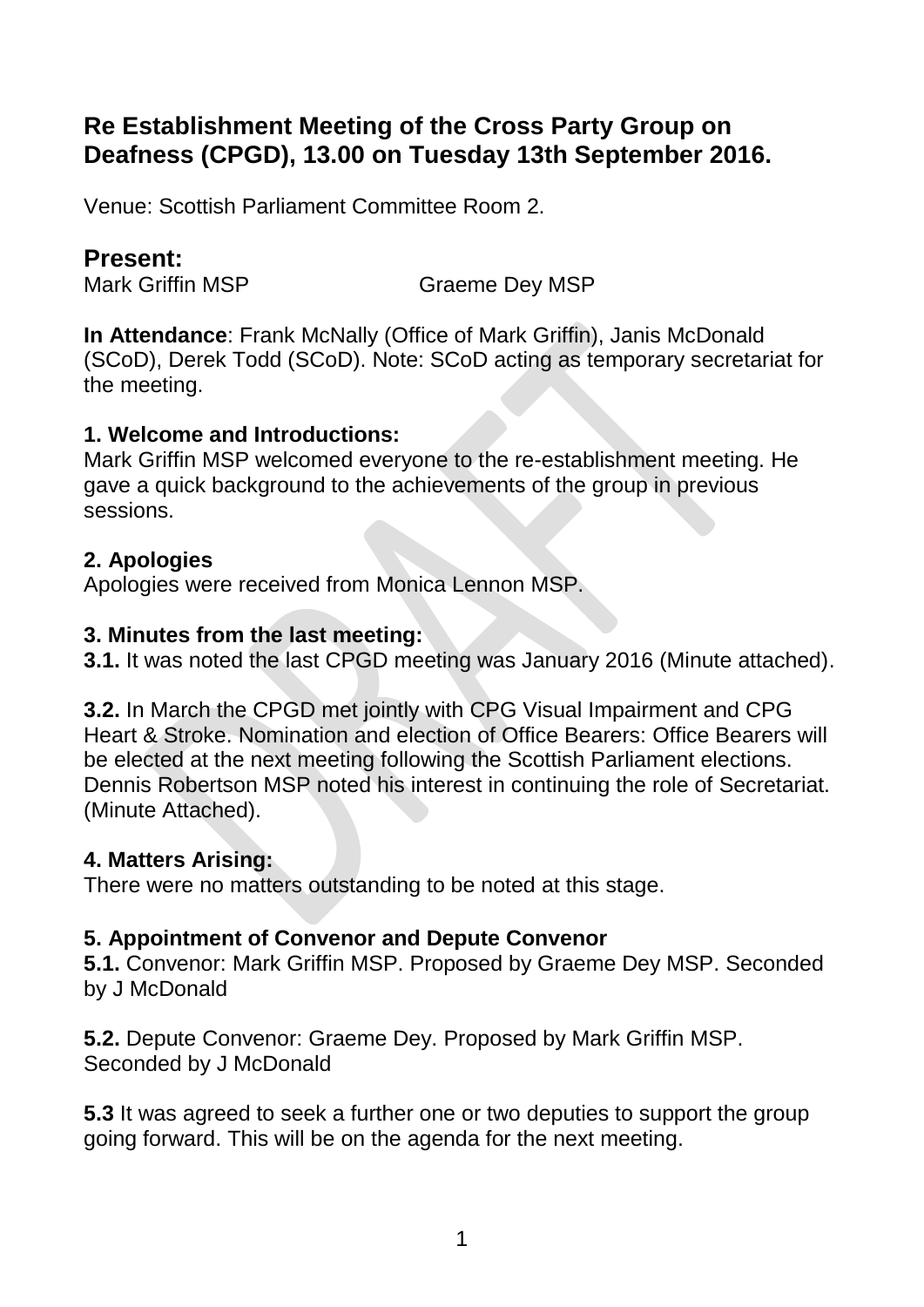# **Re Establishment Meeting of the Cross Party Group on Deafness (CPGD), 13.00 on Tuesday 13th September 2016.**

Venue: Scottish Parliament Committee Room 2.

# **Present:**

Mark Griffin MSP Graeme Dev MSP

**In Attendance**: Frank McNally (Office of Mark Griffin), Janis McDonald (SCoD), Derek Todd (SCoD). Note: SCoD acting as temporary secretariat for the meeting.

#### **1. Welcome and Introductions:**

Mark Griffin MSP welcomed everyone to the re-establishment meeting. He gave a quick background to the achievements of the group in previous sessions.

#### **2. Apologies**

Apologies were received from Monica Lennon MSP.

#### **3. Minutes from the last meeting:**

**3.1.** It was noted the last CPGD meeting was January 2016 (Minute attached).

**3.2.** In March the CPGD met jointly with CPG Visual Impairment and CPG Heart & Stroke. Nomination and election of Office Bearers: Office Bearers will be elected at the next meeting following the Scottish Parliament elections. Dennis Robertson MSP noted his interest in continuing the role of Secretariat. (Minute Attached).

#### **4. Matters Arising:**

There were no matters outstanding to be noted at this stage.

# **5. Appointment of Convenor and Depute Convenor**

**5.1.** Convenor: Mark Griffin MSP. Proposed by Graeme Dey MSP. Seconded by J McDonald

**5.2.** Depute Convenor: Graeme Dey. Proposed by Mark Griffin MSP. Seconded by J McDonald

**5.3** It was agreed to seek a further one or two deputies to support the group going forward. This will be on the agenda for the next meeting.